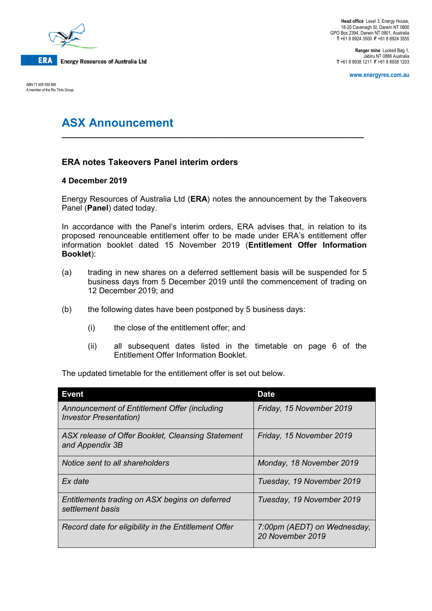

ABN 71 008 550 865 A member of the Rio Tinto Group

**Ranger mine** Locked Bag 1, Jabiru NT 0886 Australia **T** +61 8 8938 1211 **F** +61 8 8938 1203

**www.energyres.com.au**

# **ASX Announcement**

## **ERA notes Takeovers Panel interim orders**

### **4 December 2019**

Energy Resources of Australia Ltd (**ERA**) notes the announcement by the Takeovers Panel (**Panel**) dated today.

**\_\_\_\_\_\_\_\_\_\_\_\_\_\_\_\_\_\_\_\_\_\_\_\_\_\_\_\_\_\_\_\_\_\_\_\_\_\_\_\_\_\_\_\_\_\_\_\_\_\_\_\_\_\_\_\_\_\_\_\_\_\_\_\_\_\_\_\_**

In accordance with the Panel's interim orders, ERA advises that, in relation to its proposed renounceable entitlement offer to be made under ERA's entitlement offer information booklet dated 15 November 2019 (**Entitlement Offer Information Booklet**):

- (a) trading in new shares on a deferred settlement basis will be suspended for 5 business days from 5 December 2019 until the commencement of trading on 12 December 2019; and
- (b) the following dates have been postponed by 5 business days:
	- (i) the close of the entitlement offer; and
	- (ii) all subsequent dates listed in the timetable on page 6 of the Entitlement Offer Information Booklet.

The updated timetable for the entitlement offer is set out below.

| <b>Event</b>                                                                   | Date                                            |
|--------------------------------------------------------------------------------|-------------------------------------------------|
| Announcement of Entitlement Offer (including<br><b>Investor Presentation</b> ) | Friday, 15 November 2019                        |
| ASX release of Offer Booklet, Cleansing Statement<br>and Appendix 3B           | Friday, 15 November 2019                        |
| Notice sent to all shareholders                                                | Monday, 18 November 2019                        |
| Ex date                                                                        | Tuesday, 19 November 2019                       |
| Entitlements trading on ASX begins on deferred<br>settlement basis             | Tuesday, 19 November 2019                       |
| Record date for eligibility in the Entitlement Offer                           | 7:00pm (AEDT) on Wednesday,<br>20 November 2019 |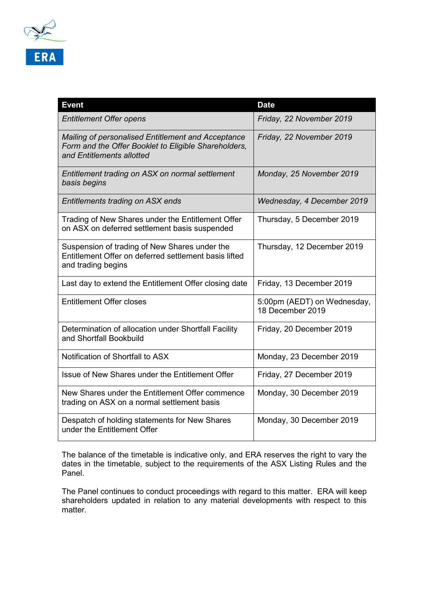

| <b>Event</b>                                                                                                                            | <b>Date</b>                                     |
|-----------------------------------------------------------------------------------------------------------------------------------------|-------------------------------------------------|
| <b>Entitlement Offer opens</b>                                                                                                          | Friday, 22 November 2019                        |
| Mailing of personalised Entitlement and Acceptance<br>Form and the Offer Booklet to Eligible Shareholders,<br>and Entitlements allotted | Friday, 22 November 2019                        |
| Entitlement trading on ASX on normal settlement<br>basis begins                                                                         | Monday, 25 November 2019                        |
| Entitlements trading on ASX ends                                                                                                        | Wednesday, 4 December 2019                      |
| Trading of New Shares under the Entitlement Offer<br>on ASX on deferred settlement basis suspended                                      | Thursday, 5 December 2019                       |
| Suspension of trading of New Shares under the<br>Entitlement Offer on deferred settlement basis lifted<br>and trading begins            | Thursday, 12 December 2019                      |
| Last day to extend the Entitlement Offer closing date                                                                                   | Friday, 13 December 2019                        |
| <b>Entitlement Offer closes</b>                                                                                                         | 5:00pm (AEDT) on Wednesday,<br>18 December 2019 |
| Determination of allocation under Shortfall Facility<br>and Shortfall Bookbuild                                                         | Friday, 20 December 2019                        |
| Notification of Shortfall to ASX                                                                                                        | Monday, 23 December 2019                        |
| Issue of New Shares under the Entitlement Offer                                                                                         | Friday, 27 December 2019                        |
| New Shares under the Entitlement Offer commence<br>trading on ASX on a normal settlement basis                                          | Monday, 30 December 2019                        |
| Despatch of holding statements for New Shares<br>under the Entitlement Offer                                                            | Monday, 30 December 2019                        |

The balance of the timetable is indicative only, and ERA reserves the right to vary the dates in the timetable, subject to the requirements of the ASX Listing Rules and the Panel.

The Panel continues to conduct proceedings with regard to this matter. ERA will keep shareholders updated in relation to any material developments with respect to this matter.